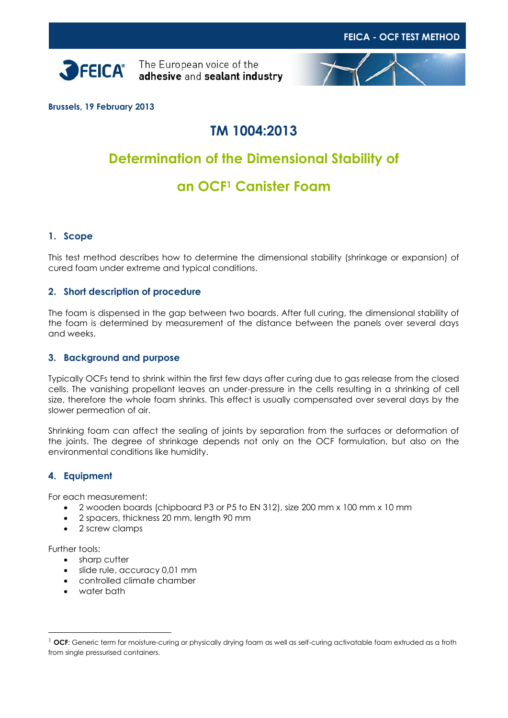



**Brussels, 19 February 2013**

## **TM 1004:2013**

# **Determination of the Dimensional Stability of**

## **an OCF<sup>1</sup> Canister Foam**

## **1. Scope**

This test method describes how to determine the dimensional stability (shrinkage or expansion) of cured foam under extreme and typical conditions.

### **2. Short description of procedure**

The foam is dispensed in the gap between two boards. After full curing, the dimensional stability of the foam is determined by measurement of the distance between the panels over several days and weeks.

### **3. Background and purpose**

Typically OCFs tend to shrink within the first few days after curing due to gas release from the closed cells. The vanishing propellant leaves an under-pressure in the cells resulting in a shrinking of cell size, therefore the whole foam shrinks. This effect is usually compensated over several days by the slower permeation of air.

Shrinking foam can affect the sealing of joints by separation from the surfaces or deformation of the joints. The degree of shrinkage depends not only on the OCF formulation, but also on the environmental conditions like humidity.

## **4. Equipment**

For each measurement:

- 2 wooden boards (chipboard P3 or P5 to EN 312), size 200 mm x 100 mm x 10 mm
- 2 spacers, thickness 20 mm, length 90 mm
- 2 screw clamps

Further tools:

 $\overline{a}$ 

- sharp cutter
- slide rule, accuracy 0,01 mm
- controlled climate chamber
- water bath

<sup>&</sup>lt;sup>1</sup> OCF: Generic term for moisture-curing or physically drying foam as well as self-curing activatable foam extruded as a froth from single pressurised containers.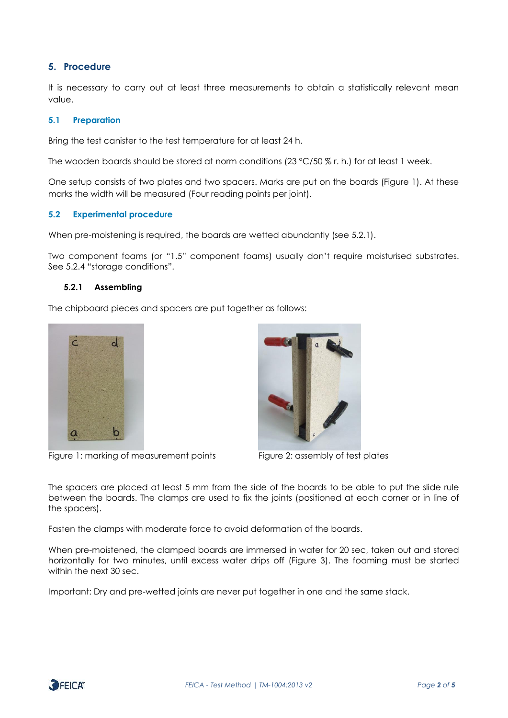## **5. Procedure**

It is necessary to carry out at least three measurements to obtain a statistically relevant mean value.

#### **5.1 Preparation**

Bring the test canister to the test temperature for at least 24 h.

The wooden boards should be stored at norm conditions (23 °C/50 % r. h.) for at least 1 week.

One setup consists of two plates and two spacers. Marks are put on the boards (Figure 1). At these marks the width will be measured (Four reading points per joint).

#### **5.2 Experimental procedure**

When pre-moistening is required, the boards are wetted abundantly (see 5.2.1).

Two component foams (or "1.5" component foams) usually don't require moisturised substrates. See 5.2.4 "storage conditions".

### **5.2.1 Assembling**

The chipboard pieces and spacers are put together as follows:



Figure 1: marking of measurement points Figure 2: assembly of test plates



The spacers are placed at least 5 mm from the side of the boards to be able to put the slide rule between the boards. The clamps are used to fix the joints (positioned at each corner or in line of the spacers).

Fasten the clamps with moderate force to avoid deformation of the boards.

When pre-moistened, the clamped boards are immersed in water for 20 sec, taken out and stored horizontally for two minutes, until excess water drips off (Figure 3). The foaming must be started within the next 30 sec.

Important: Dry and pre-wetted joints are never put together in one and the same stack.

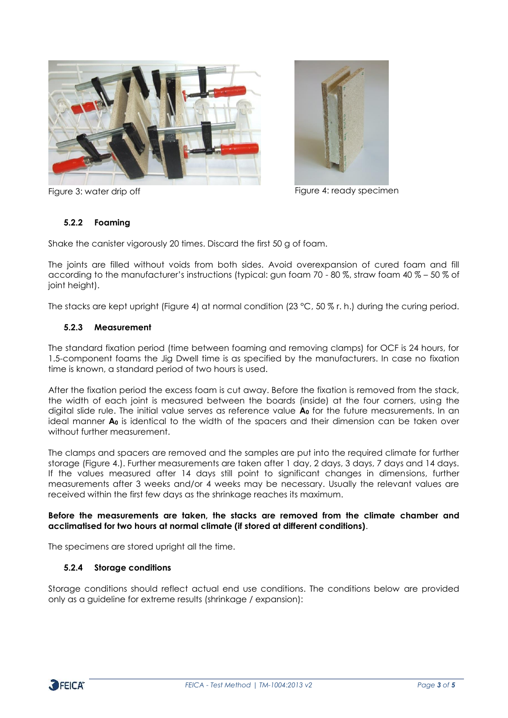



Figure 3: water drip off Figure 4: ready specimen

## **5.2.2 Foaming**

Shake the canister vigorously 20 times. Discard the first 50 g of foam.

The joints are filled without voids from both sides. Avoid overexpansion of cured foam and fill according to the manufacturer's instructions (typical: gun foam 70 - 80 %, straw foam 40 % – 50 % of joint height).

The stacks are kept upright (Figure 4) at normal condition (23 °C, 50 % r. h.) during the curing period.

#### **5.2.3 Measurement**

The standard fixation period (time between foaming and removing clamps) for OCF is 24 hours, for 1.5-component foams the Jig Dwell time is as specified by the manufacturers. In case no fixation time is known, a standard period of two hours is used.

After the fixation period the excess foam is cut away. Before the fixation is removed from the stack, the width of each joint is measured between the boards (inside) at the four corners, using the digital slide rule. The initial value serves as reference value **A<sup>0</sup>** for the future measurements. In an ideal manner **A<sup>0</sup>** is identical to the width of the spacers and their dimension can be taken over without further measurement.

The clamps and spacers are removed and the samples are put into the required climate for further storage (Figure 4.). Further measurements are taken after 1 day, 2 days, 3 days, 7 days and 14 days. If the values measured after 14 days still point to significant changes in dimensions, further measurements after 3 weeks and/or 4 weeks may be necessary. Usually the relevant values are received within the first few days as the shrinkage reaches its maximum.

#### **Before the measurements are taken, the stacks are removed from the climate chamber and acclimatised for two hours at normal climate (if stored at different conditions)**.

The specimens are stored upright all the time.

#### **5.2.4 Storage conditions**

Storage conditions should reflect actual end use conditions. The conditions below are provided only as a guideline for extreme results (shrinkage / expansion):

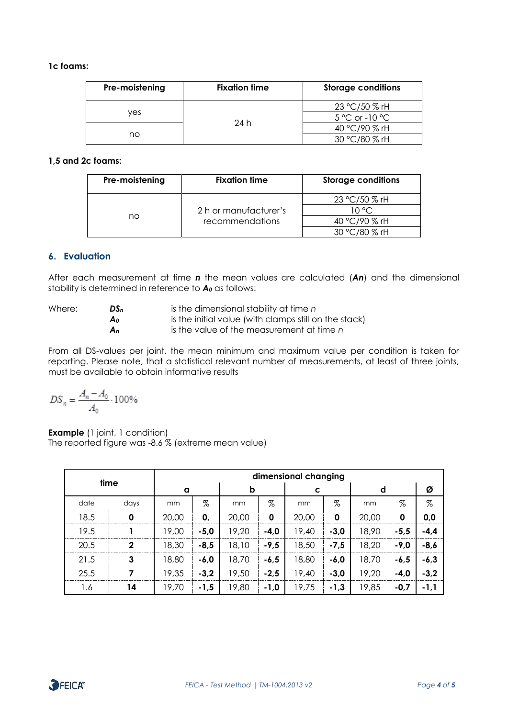#### **1c foams:**

| Pre-moistening | <b>Fixation time</b> | <b>Storage conditions</b>                          |  |  |
|----------------|----------------------|----------------------------------------------------|--|--|
| ves            |                      | 23 °C/50 % rH<br>$5^{\circ}$ C or -10 $^{\circ}$ C |  |  |
| no             | 24 h                 | 40 °C/90 % rH                                      |  |  |
|                |                      | 30 °C/80 % rH                                      |  |  |

#### **1,5 and 2c foams:**

| Pre-moistening | <b>Fixation time</b>  | <b>Storage conditions</b> |  |  |  |
|----------------|-----------------------|---------------------------|--|--|--|
| no             |                       | 23 °C/50 % rH             |  |  |  |
|                | 2 h or manufacturer's | 10 °C.                    |  |  |  |
|                | recommendations       | 40 °C/90 % rH             |  |  |  |
|                |                       | 30 °C/80 % rH             |  |  |  |

## **6. Evaluation**

After each measurement at time *n* the mean values are calculated (*An*) and the dimensional stability is determined in reference to *A<sup>0</sup>* as follows:

| Where: | DS <sub>n</sub> | is the dimensional stability at time n                |
|--------|-----------------|-------------------------------------------------------|
|        | A٥              | is the initial value (with clamps still on the stack) |
|        | An              | is the value of the measurement at time n             |

From all DS-values per joint, the mean minimum and maximum value per condition is taken for reporting. Please note, that a statistical relevant number of measurements, at least of three joints, must be available to obtain informative results

$$
DS_n = \frac{A_n - A_0}{A_0} \cdot 100\%
$$

**Example** (1 joint, 1 condition) The reported figure was -8.6 % (extreme mean value)

| time |                | dimensional changing |        |       |             |       |        |       |        |        |
|------|----------------|----------------------|--------|-------|-------------|-------|--------|-------|--------|--------|
|      |                | a                    |        | b     |             | C     |        | d     |        | Ø      |
| date | days           | mm                   | $\%$   | mm    | $\%$        | mm    | %      | mm    | $\%$   | $\%$   |
| 18.5 | 0              | 20,00                | 0,     | 20,00 | $\mathbf 0$ | 20,00 | 0      | 20,00 | 0      | 0,0    |
| 19.5 |                | 19,00                | $-5,0$ | 19,20 | $-4,0$      | 19,40 | $-3,0$ | 18,90 | $-5,5$ | $-4,4$ |
| 20.5 | $\overline{2}$ | 18,30                | $-8,5$ | 18,10 | $-9,5$      | 18,50 | $-7,5$ | 18,20 | $-9,0$ | $-8,6$ |
| 21.5 | 3              | 18,80                | $-6,0$ | 18,70 | $-6,5$      | 18,80 | $-6,0$ | 18,70 | $-6,5$ | $-6,3$ |
| 25.5 |                | 19,35                | $-3,2$ | 19,50 | $-2,5$      | 19,40 | $-3,0$ | 19,20 | $-4,0$ | $-3,2$ |
| 1.6  | 14             | 19,70                | $-1,5$ | 19,80 | $-1,0$      | 19,75 | $-1,3$ | 19,85 | $-0,7$ | $-1,1$ |